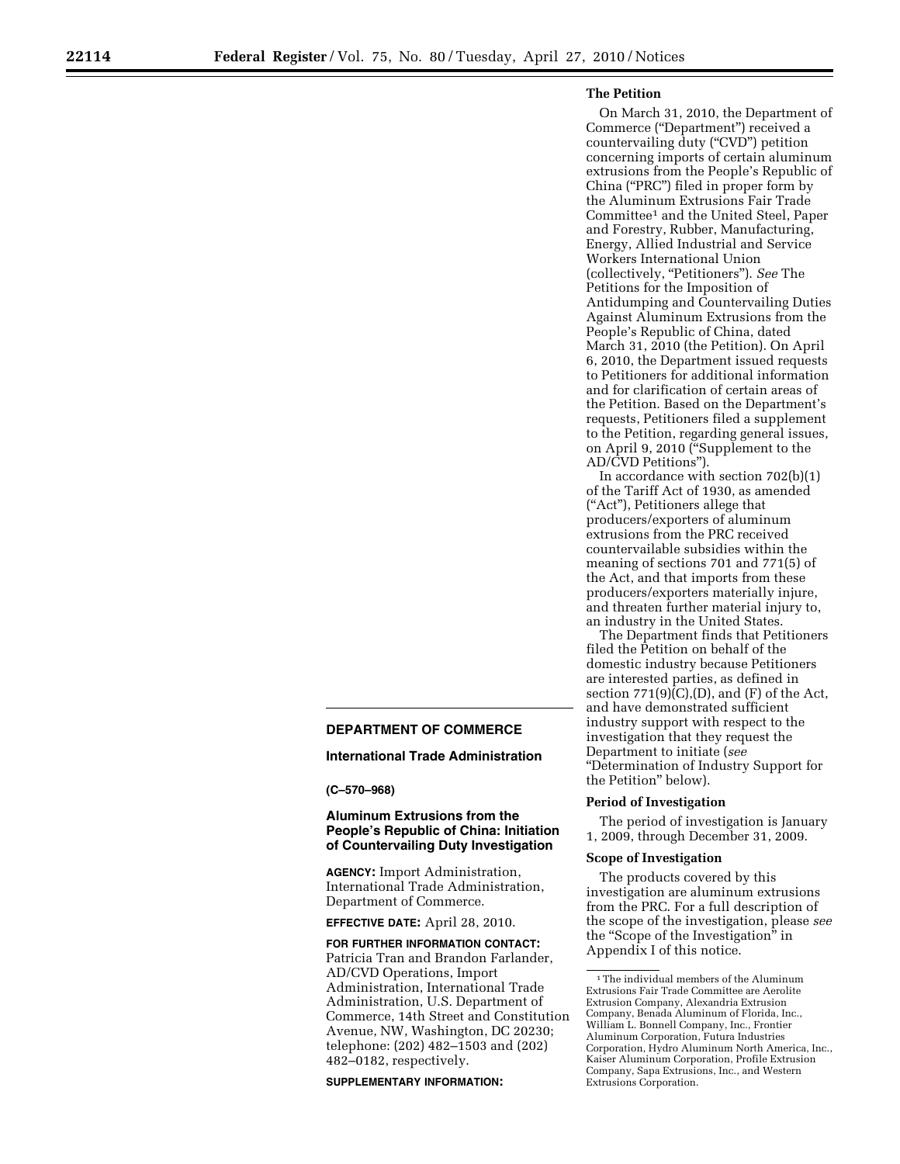# **The Petition**

On March 31, 2010, the Department of Commerce (''Department'') received a countervailing duty ("CVD") petition concerning imports of certain aluminum extrusions from the People's Republic of China (''PRC'') filed in proper form by the Aluminum Extrusions Fair Trade Committee1 and the United Steel, Paper and Forestry, Rubber, Manufacturing, Energy, Allied Industrial and Service Workers International Union (collectively, ''Petitioners''). *See* The Petitions for the Imposition of Antidumping and Countervailing Duties Against Aluminum Extrusions from the People's Republic of China, dated March 31, 2010 (the Petition). On April 6, 2010, the Department issued requests to Petitioners for additional information and for clarification of certain areas of the Petition. Based on the Department's requests, Petitioners filed a supplement to the Petition, regarding general issues, on April 9, 2010 (''Supplement to the AD/CVD Petitions'').

In accordance with section 702(b)(1) of the Tariff Act of 1930, as amended (''Act''), Petitioners allege that producers/exporters of aluminum extrusions from the PRC received countervailable subsidies within the meaning of sections 701 and 771(5) of the Act, and that imports from these producers/exporters materially injure, and threaten further material injury to, an industry in the United States.

The Department finds that Petitioners filed the Petition on behalf of the domestic industry because Petitioners are interested parties, as defined in section  $771(9)(C)(D)$ , and  $(F)$  of the Act, and have demonstrated sufficient industry support with respect to the investigation that they request the Department to initiate (*see*  ''Determination of Industry Support for the Petition'' below).

#### **Period of Investigation**

The period of investigation is January 1, 2009, through December 31, 2009.

#### **Scope of Investigation**

The products covered by this investigation are aluminum extrusions from the PRC. For a full description of the scope of the investigation, please *see*  the ''Scope of the Investigation'' in Appendix I of this notice.

# **DEPARTMENT OF COMMERCE**

**International Trade Administration** 

**(C–570–968)** 

# **Aluminum Extrusions from the People's Republic of China: Initiation of Countervailing Duty Investigation**

**AGENCY:** Import Administration, International Trade Administration, Department of Commerce.

**EFFECTIVE DATE:** April 28, 2010.

**FOR FURTHER INFORMATION CONTACT:**  Patricia Tran and Brandon Farlander, AD/CVD Operations, Import Administration, International Trade Administration, U.S. Department of Commerce, 14th Street and Constitution Avenue, NW, Washington, DC 20230; telephone: (202) 482–1503 and (202) 482–0182, respectively.

#### **SUPPLEMENTARY INFORMATION:**

 $^{\rm 1}\!$  The individual members of the Aluminum Extrusions Fair Trade Committee are Aerolite Extrusion Company, Alexandria Extrusion Company, Benada Aluminum of Florida, Inc., William L. Bonnell Company, Inc., Frontier Aluminum Corporation, Futura Industries Corporation, Hydro Aluminum North America, Inc., Kaiser Aluminum Corporation, Profile Extrusion Company, Sapa Extrusions, Inc., and Western Extrusions Corporation.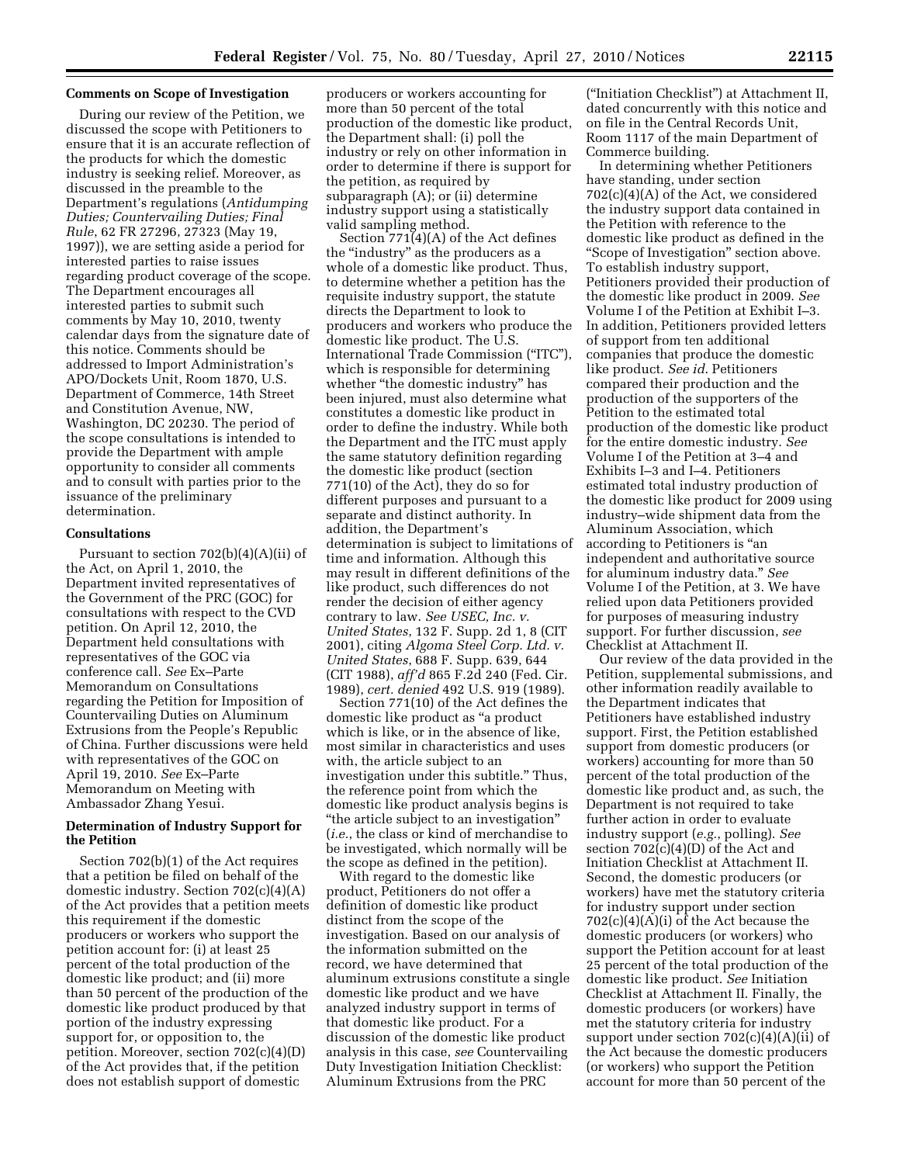## **Comments on Scope of Investigation**

During our review of the Petition, we discussed the scope with Petitioners to ensure that it is an accurate reflection of the products for which the domestic industry is seeking relief. Moreover, as discussed in the preamble to the Department's regulations (*Antidumping Duties; Countervailing Duties; Final Rule*, 62 FR 27296, 27323 (May 19, 1997)), we are setting aside a period for interested parties to raise issues regarding product coverage of the scope. The Department encourages all interested parties to submit such comments by May 10, 2010, twenty calendar days from the signature date of this notice. Comments should be addressed to Import Administration's APO/Dockets Unit, Room 1870, U.S. Department of Commerce, 14th Street and Constitution Avenue, NW, Washington, DC 20230. The period of the scope consultations is intended to provide the Department with ample opportunity to consider all comments and to consult with parties prior to the issuance of the preliminary determination.

## **Consultations**

Pursuant to section 702(b)(4)(A)(ii) of the Act, on April 1, 2010, the Department invited representatives of the Government of the PRC (GOC) for consultations with respect to the CVD petition. On April 12, 2010, the Department held consultations with representatives of the GOC via conference call. *See* Ex–Parte Memorandum on Consultations regarding the Petition for Imposition of Countervailing Duties on Aluminum Extrusions from the People's Republic of China. Further discussions were held with representatives of the GOC on April 19, 2010. *See* Ex–Parte Memorandum on Meeting with Ambassador Zhang Yesui.

# **Determination of Industry Support for the Petition**

Section 702(b)(1) of the Act requires that a petition be filed on behalf of the domestic industry. Section 702(c)(4)(A) of the Act provides that a petition meets this requirement if the domestic producers or workers who support the petition account for: (i) at least 25 percent of the total production of the domestic like product; and (ii) more than 50 percent of the production of the domestic like product produced by that portion of the industry expressing support for, or opposition to, the petition. Moreover, section 702(c)(4)(D) of the Act provides that, if the petition does not establish support of domestic

producers or workers accounting for more than 50 percent of the total production of the domestic like product, the Department shall: (i) poll the industry or rely on other information in order to determine if there is support for the petition, as required by subparagraph (A); or (ii) determine industry support using a statistically valid sampling method.

Section 771(4)(A) of the Act defines the ''industry'' as the producers as a whole of a domestic like product. Thus, to determine whether a petition has the requisite industry support, the statute directs the Department to look to producers and workers who produce the domestic like product. The U.S. International Trade Commission (''ITC''), which is responsible for determining whether "the domestic industry" has been injured, must also determine what constitutes a domestic like product in order to define the industry. While both the Department and the ITC must apply the same statutory definition regarding the domestic like product (section 771(10) of the Act), they do so for different purposes and pursuant to a separate and distinct authority. In addition, the Department's determination is subject to limitations of time and information. Although this may result in different definitions of the like product, such differences do not render the decision of either agency contrary to law. *See USEC, Inc. v. United States*, 132 F. Supp. 2d 1, 8 (CIT 2001), citing *Algoma Steel Corp. Ltd. v. United States*, 688 F. Supp. 639, 644 (CIT 1988), *aff'd* 865 F.2d 240 (Fed. Cir. 1989), *cert. denied* 492 U.S. 919 (1989).

Section 771(10) of the Act defines the domestic like product as ''a product which is like, or in the absence of like, most similar in characteristics and uses with, the article subject to an investigation under this subtitle.'' Thus, the reference point from which the domestic like product analysis begins is ''the article subject to an investigation'' (*i.e.*, the class or kind of merchandise to be investigated, which normally will be the scope as defined in the petition).

With regard to the domestic like product, Petitioners do not offer a definition of domestic like product distinct from the scope of the investigation. Based on our analysis of the information submitted on the record, we have determined that aluminum extrusions constitute a single domestic like product and we have analyzed industry support in terms of that domestic like product. For a discussion of the domestic like product analysis in this case, *see* Countervailing Duty Investigation Initiation Checklist: Aluminum Extrusions from the PRC

(''Initiation Checklist'') at Attachment II, dated concurrently with this notice and on file in the Central Records Unit, Room 1117 of the main Department of Commerce building.

In determining whether Petitioners have standing, under section 702(c)(4)(A) of the Act, we considered the industry support data contained in the Petition with reference to the domestic like product as defined in the ''Scope of Investigation'' section above. To establish industry support, Petitioners provided their production of the domestic like product in 2009. *See*  Volume I of the Petition at Exhibit I–3. In addition, Petitioners provided letters of support from ten additional companies that produce the domestic like product. *See id*. Petitioners compared their production and the production of the supporters of the Petition to the estimated total production of the domestic like product for the entire domestic industry. *See*  Volume I of the Petition at 3–4 and Exhibits I–3 and I–4. Petitioners estimated total industry production of the domestic like product for 2009 using industry–wide shipment data from the Aluminum Association, which according to Petitioners is ''an independent and authoritative source for aluminum industry data.'' *See*  Volume I of the Petition, at 3. We have relied upon data Petitioners provided for purposes of measuring industry support. For further discussion, *see*  Checklist at Attachment II.

Our review of the data provided in the Petition, supplemental submissions, and other information readily available to the Department indicates that Petitioners have established industry support. First, the Petition established support from domestic producers (or workers) accounting for more than 50 percent of the total production of the domestic like product and, as such, the Department is not required to take further action in order to evaluate industry support (*e.g.*, polling). *See*  section 702(c)(4)(D) of the Act and Initiation Checklist at Attachment II. Second, the domestic producers (or workers) have met the statutory criteria for industry support under section 702(c)(4)(A)(i) of the Act because the domestic producers (or workers) who support the Petition account for at least 25 percent of the total production of the domestic like product. *See* Initiation Checklist at Attachment II. Finally, the domestic producers (or workers) have met the statutory criteria for industry support under section 702(c)(4)(A)(ii) of the Act because the domestic producers (or workers) who support the Petition account for more than 50 percent of the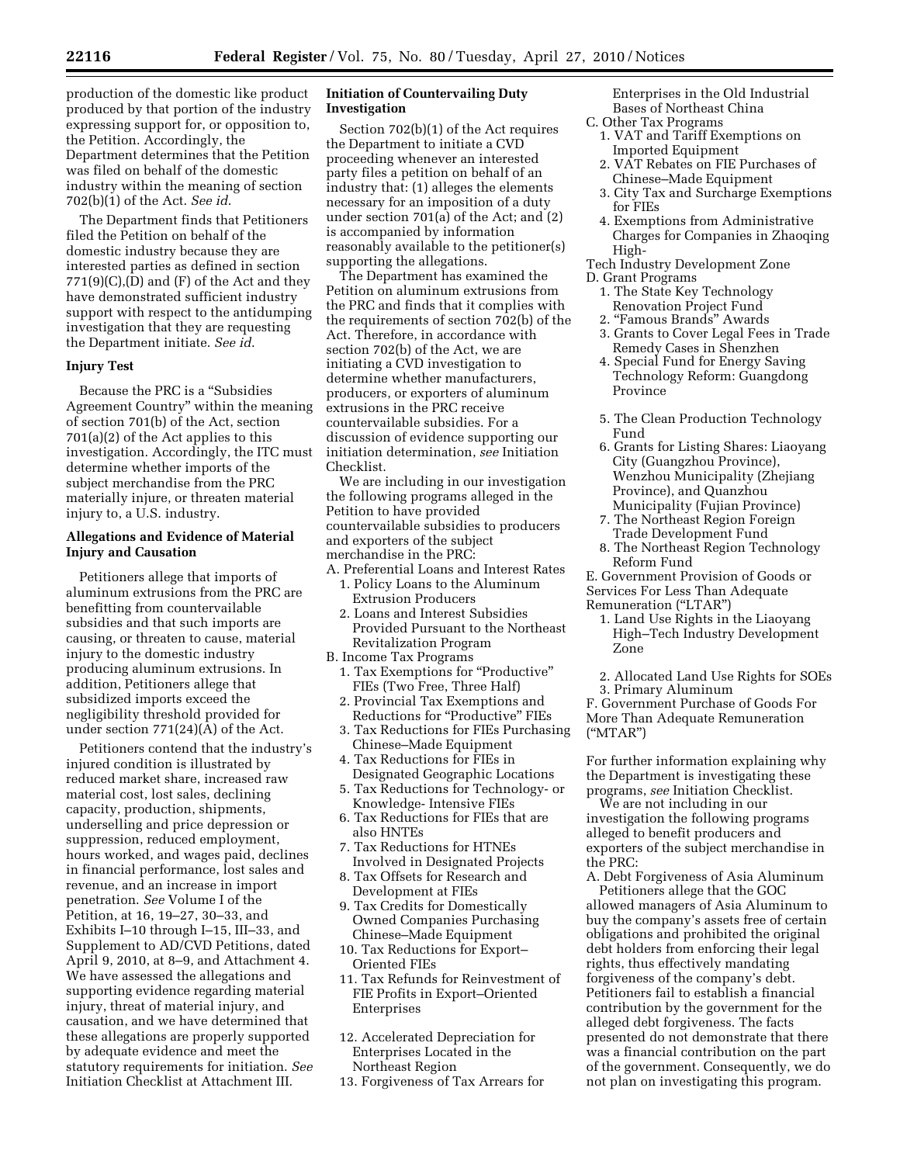production of the domestic like product produced by that portion of the industry expressing support for, or opposition to, the Petition. Accordingly, the Department determines that the Petition was filed on behalf of the domestic industry within the meaning of section 702(b)(1) of the Act. *See id*.

The Department finds that Petitioners filed the Petition on behalf of the domestic industry because they are interested parties as defined in section  $771(9)(C)(D)$  and  $(F)$  of the Act and they have demonstrated sufficient industry support with respect to the antidumping investigation that they are requesting the Department initiate. *See id*.

### **Injury Test**

Because the PRC is a ''Subsidies Agreement Country'' within the meaning of section 701(b) of the Act, section 701(a)(2) of the Act applies to this investigation. Accordingly, the ITC must determine whether imports of the subject merchandise from the PRC materially injure, or threaten material injury to, a U.S. industry.

### **Allegations and Evidence of Material Injury and Causation**

Petitioners allege that imports of aluminum extrusions from the PRC are benefitting from countervailable subsidies and that such imports are causing, or threaten to cause, material injury to the domestic industry producing aluminum extrusions. In addition, Petitioners allege that subsidized imports exceed the negligibility threshold provided for under section 771(24)(A) of the Act.

Petitioners contend that the industry's injured condition is illustrated by reduced market share, increased raw material cost, lost sales, declining capacity, production, shipments, underselling and price depression or suppression, reduced employment, hours worked, and wages paid, declines in financial performance, lost sales and revenue, and an increase in import penetration. *See* Volume I of the Petition, at 16, 19–27, 30–33, and Exhibits I–10 through I–15, III–33, and Supplement to AD/CVD Petitions, dated April 9, 2010, at 8–9, and Attachment 4. We have assessed the allegations and supporting evidence regarding material injury, threat of material injury, and causation, and we have determined that these allegations are properly supported by adequate evidence and meet the statutory requirements for initiation. *See*  Initiation Checklist at Attachment III.

## **Initiation of Countervailing Duty Investigation**

Section 702(b)(1) of the Act requires the Department to initiate a CVD proceeding whenever an interested party files a petition on behalf of an industry that: (1) alleges the elements necessary for an imposition of a duty under section 701(a) of the Act; and (2) is accompanied by information reasonably available to the petitioner(s) supporting the allegations.

The Department has examined the Petition on aluminum extrusions from the PRC and finds that it complies with the requirements of section 702(b) of the Act. Therefore, in accordance with section 702(b) of the Act, we are initiating a CVD investigation to determine whether manufacturers, producers, or exporters of aluminum extrusions in the PRC receive countervailable subsidies. For a discussion of evidence supporting our initiation determination, *see* Initiation Checklist.

We are including in our investigation the following programs alleged in the Petition to have provided countervailable subsidies to producers and exporters of the subject merchandise in the PRC:

- A. Preferential Loans and Interest Rates
	- 1. Policy Loans to the Aluminum Extrusion Producers
	- 2. Loans and Interest Subsidies Provided Pursuant to the Northeast Revitalization Program
- B. Income Tax Programs
	- 1. Tax Exemptions for "Productive" FIEs (Two Free, Three Half)
	- 2. Provincial Tax Exemptions and Reductions for "Productive" FIEs
	- 3. Tax Reductions for FIEs Purchasing Chinese–Made Equipment
	- 4. Tax Reductions for FIEs in Designated Geographic Locations
	- 5. Tax Reductions for Technology- or Knowledge- Intensive FIEs
	- 6. Tax Reductions for FIEs that are also HNTEs
	- 7. Tax Reductions for HTNEs Involved in Designated Projects
	- 8. Tax Offsets for Research and Development at FIEs
	- 9. Tax Credits for Domestically Owned Companies Purchasing Chinese–Made Equipment
	- 10. Tax Reductions for Export– Oriented FIEs
	- 11. Tax Refunds for Reinvestment of FIE Profits in Export–Oriented Enterprises
	- 12. Accelerated Depreciation for Enterprises Located in the Northeast Region
	- 13. Forgiveness of Tax Arrears for

Enterprises in the Old Industrial Bases of Northeast China

- C. Other Tax Programs
- 1. VAT and Tariff Exemptions on Imported Equipment
- 2. VAT Rebates on FIE Purchases of Chinese–Made Equipment
- 3. City Tax and Surcharge Exemptions for FIEs
- 4. Exemptions from Administrative Charges for Companies in Zhaoqing High-
- Tech Industry Development Zone
- D. Grant Programs
	- 1. The State Key Technology Renovation Project Fund 2. ''Famous Brands'' Awards
	- 3. Grants to Cover Legal Fees in Trade Remedy Cases in Shenzhen
	- 4. Special Fund for Energy Saving Technology Reform: Guangdong Province
	- 5. The Clean Production Technology Fund
	- 6. Grants for Listing Shares: Liaoyang City (Guangzhou Province), Wenzhou Municipality (Zhejiang Province), and Quanzhou Municipality (Fujian Province)
	- 7. The Northeast Region Foreign Trade Development Fund
	- 8. The Northeast Region Technology Reform Fund

E. Government Provision of Goods or Services For Less Than Adequate Remuneration (''LTAR'')

- 1. Land Use Rights in the Liaoyang High–Tech Industry Development Zone
- 2. Allocated Land Use Rights for SOEs

3. Primary Aluminum

F. Government Purchase of Goods For More Than Adequate Remuneration (''MTAR'')

For further information explaining why the Department is investigating these programs, *see* Initiation Checklist.

We are not including in our investigation the following programs alleged to benefit producers and exporters of the subject merchandise in the PRC:

A. Debt Forgiveness of Asia Aluminum Petitioners allege that the GOC allowed managers of Asia Aluminum to buy the company's assets free of certain obligations and prohibited the original debt holders from enforcing their legal rights, thus effectively mandating forgiveness of the company's debt. Petitioners fail to establish a financial contribution by the government for the alleged debt forgiveness. The facts presented do not demonstrate that there was a financial contribution on the part of the government. Consequently, we do not plan on investigating this program.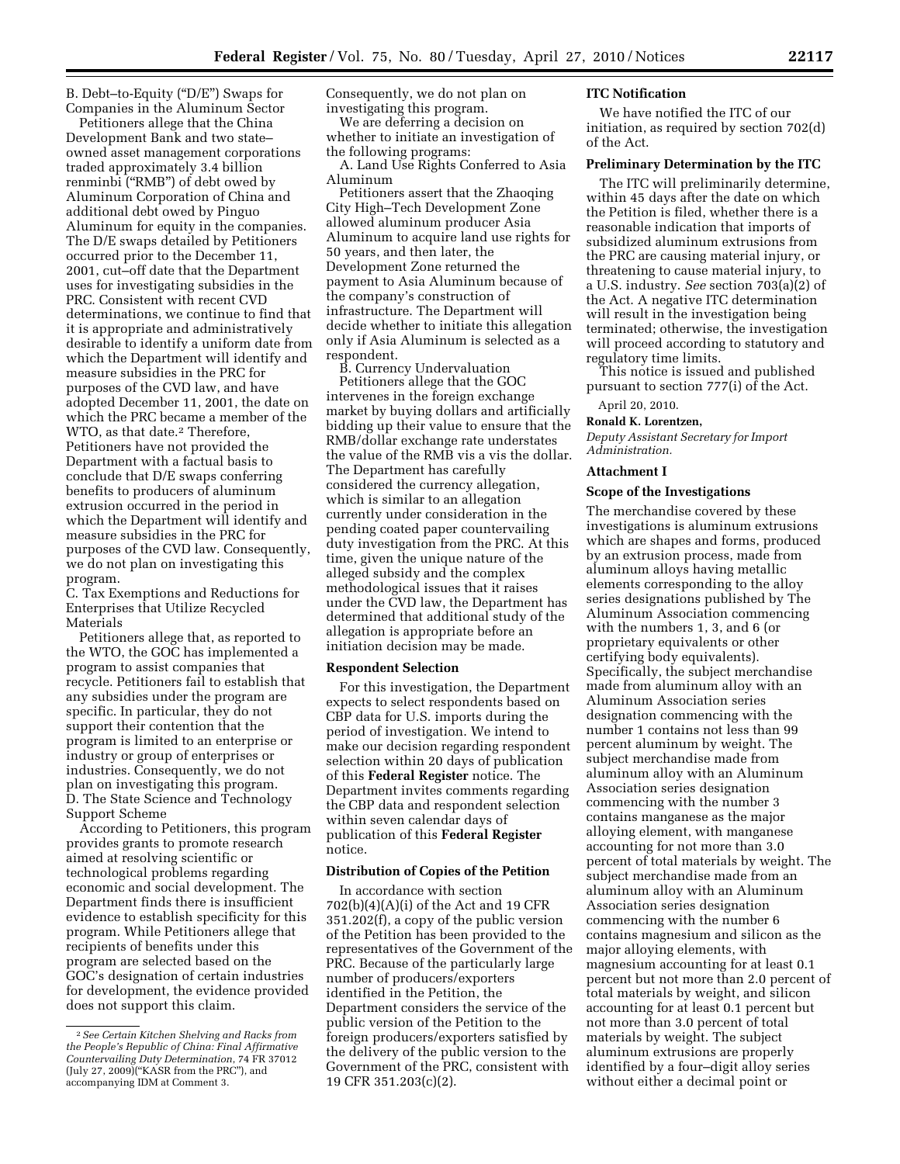B. Debt–to-Equity (''D/E'') Swaps for Companies in the Aluminum Sector

Petitioners allege that the China Development Bank and two state– owned asset management corporations traded approximately 3.4 billion renminbi (''RMB'') of debt owed by Aluminum Corporation of China and additional debt owed by Pinguo Aluminum for equity in the companies. The D/E swaps detailed by Petitioners occurred prior to the December 11, 2001, cut–off date that the Department uses for investigating subsidies in the PRC. Consistent with recent CVD determinations, we continue to find that it is appropriate and administratively desirable to identify a uniform date from which the Department will identify and measure subsidies in the PRC for purposes of the CVD law, and have adopted December 11, 2001, the date on which the PRC became a member of the WTO, as that date.<sup>2</sup> Therefore, Petitioners have not provided the Department with a factual basis to conclude that D/E swaps conferring benefits to producers of aluminum extrusion occurred in the period in which the Department will identify and measure subsidies in the PRC for purposes of the CVD law. Consequently, we do not plan on investigating this program.

C. Tax Exemptions and Reductions for Enterprises that Utilize Recycled Materials

Petitioners allege that, as reported to the WTO, the GOC has implemented a program to assist companies that recycle. Petitioners fail to establish that any subsidies under the program are specific. In particular, they do not support their contention that the program is limited to an enterprise or industry or group of enterprises or industries. Consequently, we do not plan on investigating this program. D. The State Science and Technology Support Scheme

According to Petitioners, this program provides grants to promote research aimed at resolving scientific or technological problems regarding economic and social development. The Department finds there is insufficient evidence to establish specificity for this program. While Petitioners allege that recipients of benefits under this program are selected based on the GOC's designation of certain industries for development, the evidence provided does not support this claim.

Consequently, we do not plan on investigating this program.

We are deferring a decision on whether to initiate an investigation of the following programs:

A. Land Use Rights Conferred to Asia Aluminum

Petitioners assert that the Zhaoqing City High–Tech Development Zone allowed aluminum producer Asia Aluminum to acquire land use rights for 50 years, and then later, the Development Zone returned the payment to Asia Aluminum because of the company's construction of infrastructure. The Department will decide whether to initiate this allegation only if Asia Aluminum is selected as a respondent.

B. Currency Undervaluation Petitioners allege that the GOC intervenes in the foreign exchange market by buying dollars and artificially bidding up their value to ensure that the RMB/dollar exchange rate understates the value of the RMB vis a vis the dollar. The Department has carefully considered the currency allegation, which is similar to an allegation currently under consideration in the pending coated paper countervailing duty investigation from the PRC. At this time, given the unique nature of the alleged subsidy and the complex methodological issues that it raises under the CVD law, the Department has determined that additional study of the allegation is appropriate before an initiation decision may be made.

# **Respondent Selection**

For this investigation, the Department expects to select respondents based on CBP data for U.S. imports during the period of investigation. We intend to make our decision regarding respondent selection within 20 days of publication of this **Federal Register** notice. The Department invites comments regarding the CBP data and respondent selection within seven calendar days of publication of this **Federal Register**  notice.

# **Distribution of Copies of the Petition**

In accordance with section 702(b)(4)(A)(i) of the Act and 19 CFR 351.202(f), a copy of the public version of the Petition has been provided to the representatives of the Government of the PRC. Because of the particularly large number of producers/exporters identified in the Petition, the Department considers the service of the public version of the Petition to the foreign producers/exporters satisfied by the delivery of the public version to the Government of the PRC, consistent with 19 CFR 351.203(c)(2).

## **ITC Notification**

We have notified the ITC of our initiation, as required by section 702(d) of the Act.

#### **Preliminary Determination by the ITC**

The ITC will preliminarily determine, within 45 days after the date on which the Petition is filed, whether there is a reasonable indication that imports of subsidized aluminum extrusions from the PRC are causing material injury, or threatening to cause material injury, to a U.S. industry. *See* section 703(a)(2) of the Act. A negative ITC determination will result in the investigation being terminated; otherwise, the investigation will proceed according to statutory and regulatory time limits.

This notice is issued and published pursuant to section 777(i) of the Act.

April 20, 2010.

#### **Ronald K. Lorentzen,**

*Deputy Assistant Secretary for Import Administration.* 

#### **Attachment I**

#### **Scope of the Investigations**

The merchandise covered by these investigations is aluminum extrusions which are shapes and forms, produced by an extrusion process, made from aluminum alloys having metallic elements corresponding to the alloy series designations published by The Aluminum Association commencing with the numbers 1, 3, and 6 (or proprietary equivalents or other certifying body equivalents). Specifically, the subject merchandise made from aluminum alloy with an Aluminum Association series designation commencing with the number 1 contains not less than 99 percent aluminum by weight. The subject merchandise made from aluminum alloy with an Aluminum Association series designation commencing with the number 3 contains manganese as the major alloying element, with manganese accounting for not more than 3.0 percent of total materials by weight. The subject merchandise made from an aluminum alloy with an Aluminum Association series designation commencing with the number 6 contains magnesium and silicon as the major alloying elements, with magnesium accounting for at least 0.1 percent but not more than 2.0 percent of total materials by weight, and silicon accounting for at least 0.1 percent but not more than 3.0 percent of total materials by weight. The subject aluminum extrusions are properly identified by a four–digit alloy series without either a decimal point or

<sup>2</sup>*See Certain Kitchen Shelving and Racks from the People's Republic of China: Final Affirmative Countervailing Duty Determination*, 74 FR 37012 (July 27, 2009)(''KASR from the PRC''), and accompanying IDM at Comment 3.